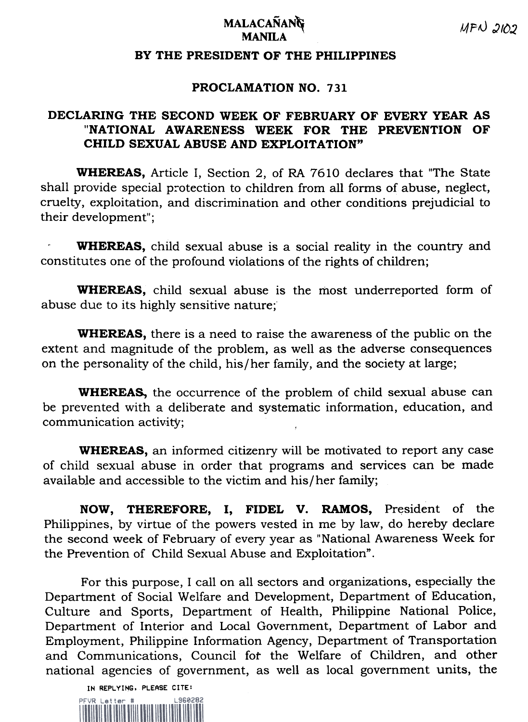## $MFD \cdot 210$ .<br>MANILA

## BY THE PRESIDENT OF THE PHILIPPINES

## PROCLAMATION NO. 731

## DECLARING THE SECOND WEEK OF FEBRUARY OF EVERY YEAR AS "NATIONAL AWARENESS WEEK FOR THE PREVENTION OF CHILD SEXUAL ABUSE AND EXPLOITATION"

WHEREAS, Article I, Section 2, of RA 7610 declares that "The State shall provide special protection to children from all forms of abuse, neglect, cruelty, exploitation, and discrimination and other conditions prejudicial to their development";

WHEREAS, child sexual abuse is a social reality in the country and constitutes one of the profound violations of the rights of children;

WHEREAS, child sexual abuse is the most underreported form of abuse due to its highly sensitive nature;

WHEREAS, there is a need to raise the awareness of the public on the extent and magnitude of the problem, as well as the adverse consequences on the personality of the child, his/her family, and the society at large;

WHEREAs, the occurrence of the problem of child sexual abuse can be prevented with a deliberate and systematic information, education, and communication activity;

WHEREAS, an informed citizenry will be motivated to report any case of child sexual abuse in order that programs and services can be made available and accessible to the victim and his/her family;

NOW, THEREFORE, I, FIDEL V. RAMOS, President of the Philippines, by virtue of the powers vested in me by law, do hereby declare the second week of February of every year as "National Awareness Week for the Prevention of Child Sexual Abuse and Exploitation".

For this purpose, I call on all sectors and organizations, especially the Department of Social Welfare and Development, Department of Education, Culture and Sports, Department of Health, Philippine National Police, Department of Interior and Local Government, Department of Labor and Employment, Philippine Information Agency, Department of Transportation and Communications, Council fot the Welfare of Children, and other national agencies of government, as well as local government units, the